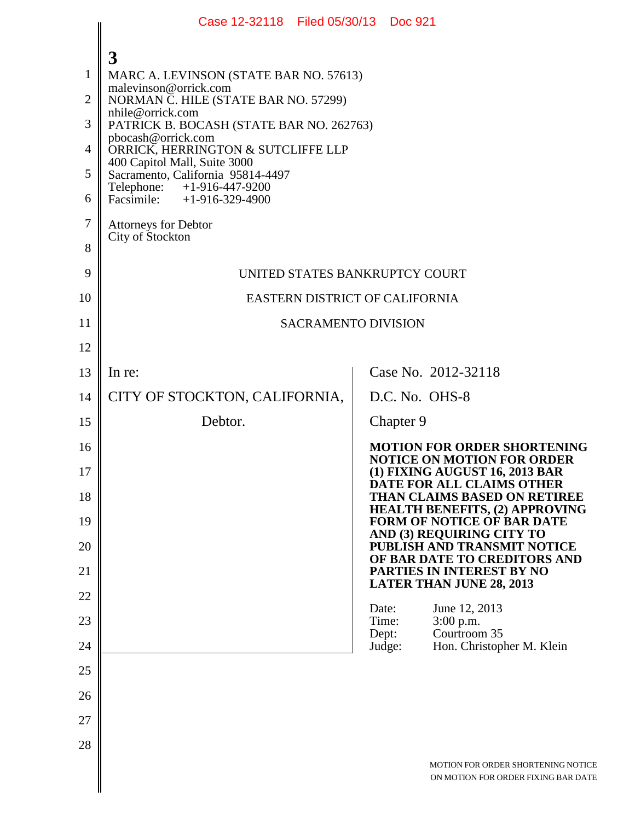|                | Case 12-32118   Filed 05/30/13   Doc 921                          |                 |                                                                                                                   |  |  |
|----------------|-------------------------------------------------------------------|-----------------|-------------------------------------------------------------------------------------------------------------------|--|--|
|                | 3                                                                 |                 |                                                                                                                   |  |  |
| 1              | MARC A. LEVINSON (STATE BAR NO. 57613)                            |                 |                                                                                                                   |  |  |
| $\overline{2}$ | malevinson@orrick.com<br>NORMAN C. HILE (STATE BAR NO. 57299)     |                 |                                                                                                                   |  |  |
| 3              | nhile@orrick.com<br>PATRICK B. BOCASH (STATE BAR NO. 262763)      |                 |                                                                                                                   |  |  |
| $\overline{4}$ | pbocash@orrick.com<br>ORRICK, HERRINGTON & SUTCLIFFE LLP          |                 |                                                                                                                   |  |  |
| 5              | 400 Capitol Mall, Suite 3000<br>Sacramento, California 95814-4497 |                 |                                                                                                                   |  |  |
| 6              | Telephone: +1-916-447-9200<br>Facsimile: $+1-916-329-4900$        |                 |                                                                                                                   |  |  |
| 7              | <b>Attorneys for Debtor</b>                                       |                 |                                                                                                                   |  |  |
| 8              | City of Stockton                                                  |                 |                                                                                                                   |  |  |
| 9              | UNITED STATES BANKRUPTCY COURT                                    |                 |                                                                                                                   |  |  |
| 10             | EASTERN DISTRICT OF CALIFORNIA                                    |                 |                                                                                                                   |  |  |
| 11             | <b>SACRAMENTO DIVISION</b>                                        |                 |                                                                                                                   |  |  |
| 12             |                                                                   |                 |                                                                                                                   |  |  |
| 13             | In re:                                                            |                 | Case No. 2012-32118                                                                                               |  |  |
| 14             | CITY OF STOCKTON, CALIFORNIA,                                     |                 | D.C. No. OHS-8                                                                                                    |  |  |
| 15             | Debtor.                                                           |                 | Chapter 9                                                                                                         |  |  |
| 16             |                                                                   |                 | <b>MOTION FOR ORDER SHORTENING</b><br><b>NOTICE ON MOTION FOR ORDER</b>                                           |  |  |
| 17             |                                                                   |                 | (1) FIXING AUGUST 16, 2013 BAR<br>DATE FOR ALL CLAIMS OTHER                                                       |  |  |
| 18<br>19       |                                                                   |                 | <b>THAN CLAIMS BASED ON RETIREE</b><br><b>HEALTH BENEFITS, (2) APPROVING</b><br><b>FORM OF NOTICE OF BAR DATE</b> |  |  |
| 20             |                                                                   |                 | AND (3) REQUIRING CITY TO<br>PUBLISH AND TRANSMIT NOTICE                                                          |  |  |
| 21             |                                                                   |                 | OF BAR DATE TO CREDITORS AND<br>PARTIES IN INTEREST BY NO                                                         |  |  |
| 22             |                                                                   |                 | <b>LATER THAN JUNE 28, 2013</b>                                                                                   |  |  |
| 23             |                                                                   | Date:<br>Time:  | June 12, 2013<br>$3:00$ p.m.                                                                                      |  |  |
| 24             |                                                                   | Dept:<br>Judge: | Courtroom 35<br>Hon. Christopher M. Klein                                                                         |  |  |
| 25             |                                                                   |                 |                                                                                                                   |  |  |
| 26             |                                                                   |                 |                                                                                                                   |  |  |
| 27             |                                                                   |                 |                                                                                                                   |  |  |
| 28             |                                                                   |                 |                                                                                                                   |  |  |
|                |                                                                   |                 | MOTION FOR ORDER SHORTENING NOTICE<br>ON MOTION FOR ORDER FIXING BAR DATE                                         |  |  |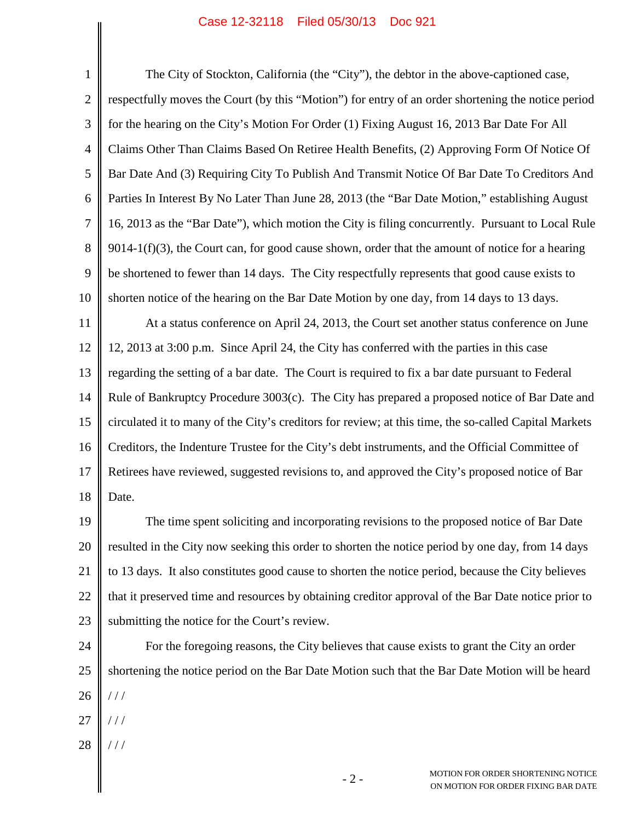## Case 12-32118 Filed 05/30/13 Doc 921

1 2 3 4 5 6 7 8 9 10 11 The City of Stockton, California (the "City"), the debtor in the above-captioned case, respectfully moves the Court (by this "Motion") for entry of an order shortening the notice period for the hearing on the City's Motion For Order (1) Fixing August 16, 2013 Bar Date For All Claims Other Than Claims Based On Retiree Health Benefits, (2) Approving Form Of Notice Of Bar Date And (3) Requiring City To Publish And Transmit Notice Of Bar Date To Creditors And Parties In Interest By No Later Than June 28, 2013 (the "Bar Date Motion," establishing August 16, 2013 as the "Bar Date"), which motion the City is filing concurrently. Pursuant to Local Rule  $9014-1(f)(3)$ , the Court can, for good cause shown, order that the amount of notice for a hearing be shortened to fewer than 14 days. The City respectfully represents that good cause exists to shorten notice of the hearing on the Bar Date Motion by one day, from 14 days to 13 days. At a status conference on April 24, 2013, the Court set another status conference on June

12 13 14 15 16 17 18 12, 2013 at 3:00 p.m. Since April 24, the City has conferred with the parties in this case regarding the setting of a bar date. The Court is required to fix a bar date pursuant to Federal Rule of Bankruptcy Procedure 3003(c). The City has prepared a proposed notice of Bar Date and circulated it to many of the City's creditors for review; at this time, the so-called Capital Markets Creditors, the Indenture Trustee for the City's debt instruments, and the Official Committee of Retirees have reviewed, suggested revisions to, and approved the City's proposed notice of Bar Date.

19 20 21 22 23 The time spent soliciting and incorporating revisions to the proposed notice of Bar Date resulted in the City now seeking this order to shorten the notice period by one day, from 14 days to 13 days. It also constitutes good cause to shorten the notice period, because the City believes that it preserved time and resources by obtaining creditor approval of the Bar Date notice prior to submitting the notice for the Court's review.

24 25 26 For the foregoing reasons, the City believes that cause exists to grant the City an order shortening the notice period on the Bar Date Motion such that the Bar Date Motion will be heard / / /

- 27 / / /
- 28 / / /